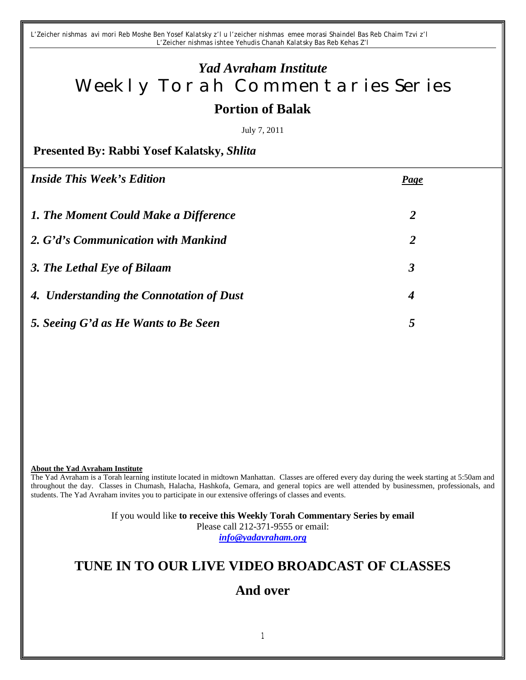*L'Zeicher nishmas avi mori Reb Moshe Ben Yosef Kalatsky z'l u l'zeicher nishmas emee morasi Shaindel Bas Reb Chaim Tzvi z'l L'Zeicher nishmas ishtee Yehudis Chanah Kalatsky Bas Reb Kehas Z'l*

# *Yad Avraham Institute* Weekly Torah Commentaries Series **Portion of Balak**

July 7, 2011

**Presented By: Rabbi Yosef Kalatsky,** *Shlita*

| <i><b>Inside This Week's Edition</b></i> | <b>Page</b>      |
|------------------------------------------|------------------|
| 1. The Moment Could Make a Difference    | $\overline{2}$   |
| 2. G'd's Communication with Mankind      | $\overline{2}$   |
| 3. The Lethal Eye of Bilaam              | 3                |
| 4. Understanding the Connotation of Dust | $\boldsymbol{4}$ |
| 5. Seeing G'd as He Wants to Be Seen     | 5                |

#### **About the Yad Avraham Institute**

The Yad Avraham is a Torah learning institute located in midtown Manhattan. Classes are offered every day during the week starting at 5:50am and throughout the day. Classes in Chumash, Halacha, Hashkofa, Gemara, and general topics are well attended by businessmen, professionals, and students. The Yad Avraham invites you to participate in our extensive offerings of classes and events.

> If you would like **to receive this Weekly Torah Commentary Series by email** Please call 212-371-9555 or email: *info@yadavraham.org*

## **TUNE IN TO OUR LIVE VIDEO BROADCAST OF CLASSES**

## **And over**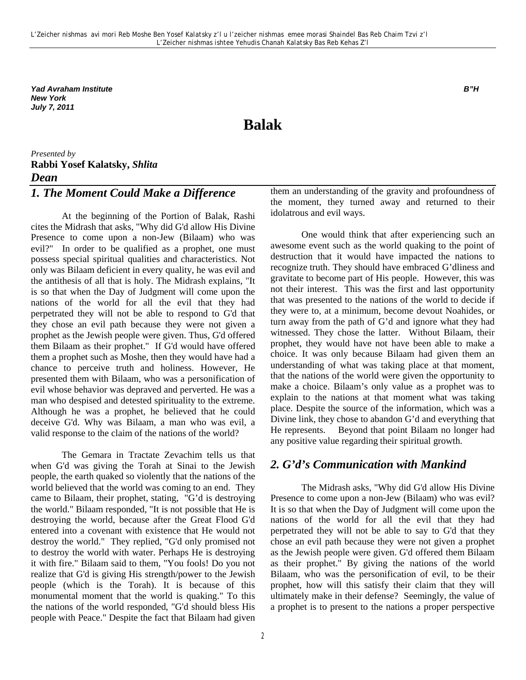*Yad Avraham Institute B"H New York July 7, 2011*

## **Balak**

## *Presented by* **Rabbi Yosef Kalatsky,** *Shlita Dean*

## *1. The Moment Could Make a Difference*

At the beginning of the Portion of Balak, Rashi cites the Midrash that asks, "Why did G'd allow His Divine Presence to come upon a non-Jew (Bilaam) who was evil?" In order to be qualified as a prophet, one must possess special spiritual qualities and characteristics. Not only was Bilaam deficient in every quality, he was evil and the antithesis of all that is holy. The Midrash explains, "It is so that when the Day of Judgment will come upon the nations of the world for all the evil that they had perpetrated they will not be able to respond to G'd that they chose an evil path because they were not given a prophet as the Jewish people were given. Thus, G'd offered them Bilaam as their prophet." If G'd would have offered them a prophet such as Moshe, then they would have had a chance to perceive truth and holiness. However, He presented them with Bilaam, who was a personification of evil whose behavior was depraved and perverted. He was a man who despised and detested spirituality to the extreme. Although he was a prophet, he believed that he could deceive G'd. Why was Bilaam, a man who was evil, a valid response to the claim of the nations of the world?

The Gemara in Tractate Zevachim tells us that when G'd was giving the Torah at Sinai to the Jewish people, the earth quaked so violently that the nations of the world believed that the world was coming to an end. They came to Bilaam, their prophet, stating, "G'd is destroying the world." Bilaam responded, "It is not possible that He is destroying the world, because after the Great Flood G'd entered into a covenant with existence that He would not destroy the world." They replied, "G'd only promised not to destroy the world with water. Perhaps He is destroying it with fire." Bilaam said to them, "You fools! Do you not realize that G'd is giving His strength/power to the Jewish people (which is the Torah). It is because of this monumental moment that the world is quaking." To this the nations of the world responded, "G'd should bless His people with Peace." Despite the fact that Bilaam had given

2

them an understanding of the gravity and profoundness of the moment, they turned away and returned to their idolatrous and evil ways.

One would think that after experiencing such an awesome event such as the world quaking to the point of destruction that it would have impacted the nations to recognize truth. They should have embraced G'dliness and gravitate to become part of His people. However, this was not their interest. This was the first and last opportunity that was presented to the nations of the world to decide if they were to, at a minimum, become devout Noahides, or turn away from the path of G'd and ignore what they had witnessed. They chose the latter. Without Bilaam, their prophet, they would have not have been able to make a choice. It was only because Bilaam had given them an understanding of what was taking place at that moment, that the nations of the world were given the opportunity to make a choice. Bilaam's only value as a prophet was to explain to the nations at that moment what was taking place. Despite the source of the information, which was a Divine link, they chose to abandon G'd and everything that He represents. Beyond that point Bilaam no longer had any positive value regarding their spiritual growth.

#### *2. G'd's Communication with Mankind*

The Midrash asks, "Why did G'd allow His Divine Presence to come upon a non-Jew (Bilaam) who was evil? It is so that when the Day of Judgment will come upon the nations of the world for all the evil that they had perpetrated they will not be able to say to G'd that they chose an evil path because they were not given a prophet as the Jewish people were given. G'd offered them Bilaam as their prophet." By giving the nations of the world Bilaam, who was the personification of evil, to be their prophet, how will this satisfy their claim that they will ultimately make in their defense? Seemingly, the value of a prophet is to present to the nations a proper perspective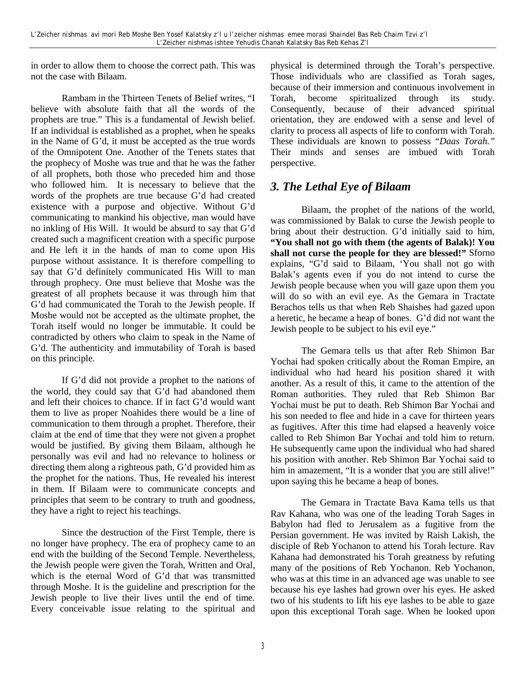in order to allow them to choose the correct path. This was not the case with Bilaam.

Rambam in the Thirteen Tenets of Belief writes, "I believe with absolute faith that all the words of the prophets are true." This is a fundamental of Jewish belief. If an individual is established as a prophet, when he speaks in the Name of G'd, it must be accepted as the true words of the Omnipotent One. Another of the Tenets states that the prophecy of Moshe was true and that he was the father of all prophets, both those who preceded him and those who followed him. It is necessary to believe that the words of the prophets are true because G'd had created existence with a purpose and objective. Without G'd communicating to mankind his objective, man would have no inkling of His Will. It would be absurd to say that G'd created such a magnificent creation with a specific purpose and He left it in the hands of man to come upon His purpose without assistance. It is therefore compelling to say that G'd definitely communicated His Will to man through prophecy. One must believe that Moshe was the greatest of all prophets because it was through him that G'd had communicated the Torah to the Jewish people. If Moshe would not be accepted as the ultimate prophet, the Torah itself would no longer be immutable. It could be contradicted by others who claim to speak in the Name of G'd. The authenticity and immutability of Torah is based on this principle.

If G'd did not provide a prophet to the nations of the world, they could say that G'd had abandoned them and left their choices to chance. If in fact G'd would want them to live as proper Noahides there would be a line of communication to them through a prophet. Therefore, their claim at the end of time that they were not given a prophet would be justified. By giving them Bilaam, although he personally was evil and had no relevance to holiness or directing them along a righteous path, G'd provided him as the prophet for the nations. Thus, He revealed his interest in them. If Bilaam were to communicate concepts and principles that seem to be contrary to truth and goodness, they have a right to reject his teachings.

Since the destruction of the First Temple, there is no longer have prophecy. The era of prophecy came to an end with the building of the Second Temple. Nevertheless, the Jewish people were given the Torah, Written and Oral, which is the eternal Word of G'd that was transmitted through Moshe. It is the guideline and prescription for the Jewish people to live their lives until the end of time. Every conceivable issue relating to the spiritual and

physical is determined through the Torah's perspective. Those individuals who are classified as Torah sages, because of their immersion and continuous involvement in Torah, become spiritualized through its study. Consequently, because of their advanced spiritual orientation, they are endowed with a sense and level of clarity to process all aspects of life to conform with Torah. These individuals are known to possess "*Daas Torah."* Their minds and senses are imbued with Torah perspective.

#### *3. The Lethal Eye of Bilaam*

Bilaam, the prophet of the nations of the world, was commissioned by Balak to curse the Jewish people to bring about their destruction. G'd initially said to him, **"You shall not go with them (the agents of Balak)! You shall not curse the people for they are blessed!"** Sforno explains, "G'd said to Bilaam, 'You shall not go with Balak's agents even if you do not intend to curse the Jewish people because when you will gaze upon them you will do so with an evil eye. As the Gemara in Tractate Berachos tells us that when Reb Shaishes had gazed upon a heretic, he became a heap of bones. G'd did not want the Jewish people to be subject to his evil eye."

The Gemara tells us that after Reb Shimon Bar Yochai had spoken critically about the Roman Empire, an individual who had heard his position shared it with another. As a result of this, it came to the attention of the Roman authorities. They ruled that Reb Shimon Bar Yochai must be put to death. Reb Shimon Bar Yochai and his son needed to flee and hide in a cave for thirteen years as fugitives. After this time had elapsed a heavenly voice called to Reb Shimon Bar Yochai and told him to return. He subsequently came upon the individual who had shared his position with another. Reb Shimon Bar Yochai said to him in amazement, "It is a wonder that you are still alive!" upon saying this he became a heap of bones.

The Gemara in Tractate Bava Kama tells us that Rav Kahana, who was one of the leading Torah Sages in Babylon had fled to Jerusalem as a fugitive from the Persian government. He was invited by Raish Lakish, the disciple of Reb Yochanon to attend his Torah lecture. Rav Kahana had demonstrated his Torah greatness by refuting many of the positions of Reb Yochanon. Reb Yochanon, who was at this time in an advanced age was unable to see because his eye lashes had grown over his eyes. He asked two of his students to lift his eye lashes to be able to gaze upon this exceptional Torah sage. When he looked upon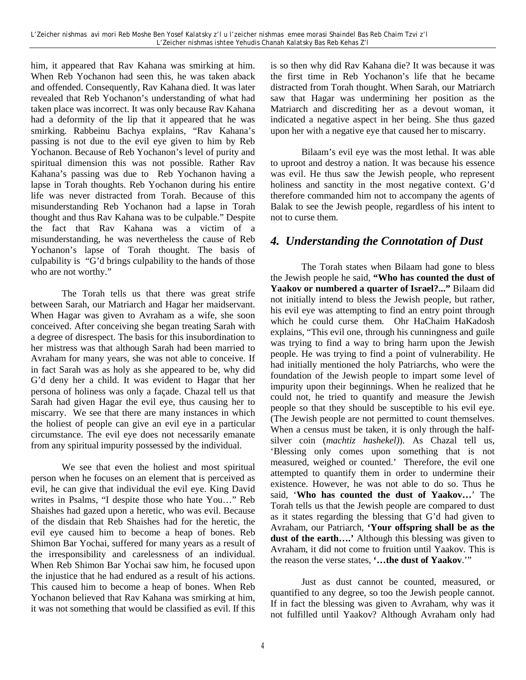him, it appeared that Rav Kahana was smirking at him. When Reb Yochanon had seen this, he was taken aback and offended. Consequently, Rav Kahana died. It was later revealed that Reb Yochanon's understanding of what had taken place was incorrect. It was only because Rav Kahana had a deformity of the lip that it appeared that he was smirking. Rabbeinu Bachya explains, "Rav Kahana's passing is not due to the evil eye given to him by Reb Yochanon. Because of Reb Yochanon's level of purity and spiritual dimension this was not possible. Rather Rav Kahana's passing was due to Reb Yochanon having a lapse in Torah thoughts. Reb Yochanon during his entire life was never distracted from Torah. Because of this misunderstanding Reb Yochanon had a lapse in Torah thought and thus Rav Kahana was to be culpable." Despite the fact that Rav Kahana was a victim of a misunderstanding, he was nevertheless the cause of Reb Yochanon's lapse of Torah thought. The basis of culpability is "G'd brings culpability to the hands of those who are not worthy."

The Torah tells us that there was great strife between Sarah, our Matriarch and Hagar her maidservant. When Hagar was given to Avraham as a wife, she soon conceived. After conceiving she began treating Sarah with a degree of disrespect. The basis for this insubordination to her mistress was that although Sarah had been married to Avraham for many years, she was not able to conceive. If in fact Sarah was as holy as she appeared to be, why did G'd deny her a child. It was evident to Hagar that her persona of holiness was only a façade. Chazal tell us that Sarah had given Hagar the evil eye, thus causing her to miscarry. We see that there are many instances in which the holiest of people can give an evil eye in a particular circumstance. The evil eye does not necessarily emanate from any spiritual impurity possessed by the individual.

We see that even the holiest and most spiritual person when he focuses on an element that is perceived as evil, he can give that individual the evil eye. King David writes in Psalms, "I despite those who hate You…" Reb Shaishes had gazed upon a heretic, who was evil. Because of the disdain that Reb Shaishes had for the heretic, the evil eye caused him to become a heap of bones. Reb Shimon Bar Yochai, suffered for many years as a result of the irresponsibility and carelessness of an individual. When Reb Shimon Bar Yochai saw him, he focused upon the injustice that he had endured as a result of his actions. This caused him to become a heap of bones. When Reb Yochanon believed that Rav Kahana was smirking at him, it was not something that would be classified as evil. If this

is so then why did Rav Kahana die? It was because it was the first time in Reb Yochanon's life that he became distracted from Torah thought. When Sarah, our Matriarch saw that Hagar was undermining her position as the Matriarch and discrediting her as a devout woman, it indicated a negative aspect in her being. She thus gazed upon her with a negative eye that caused her to miscarry.

Bilaam's evil eye was the most lethal. It was able to uproot and destroy a nation. It was because his essence was evil. He thus saw the Jewish people, who represent holiness and sanctity in the most negative context. G'd therefore commanded him not to accompany the agents of Balak to see the Jewish people, regardless of his intent to not to curse them.

#### *4. Understanding the Connotation of Dust*

The Torah states when Bilaam had gone to bless the Jewish people he said, **"Who has counted the dust of Yaakov or numbered a quarter of Israel?..."** Bilaam did not initially intend to bless the Jewish people, but rather, his evil eye was attempting to find an entry point through which he could curse them. Ohr HaChaim HaKadosh explains, "This evil one, through his cunningness and guile was trying to find a way to bring harm upon the Jewish people. He was trying to find a point of vulnerability. He had initially mentioned the holy Patriarchs, who were the foundation of the Jewish people to impart some level of impurity upon their beginnings. When he realized that he could not, he tried to quantify and measure the Jewish people so that they should be susceptible to his evil eye. (The Jewish people are not permitted to count themselves. When a census must be taken, it is only through the halfsilver coin (*machtiz hashekel)*). As Chazal tell us, 'Blessing only comes upon something that is not measured, weighed or counted.' Therefore, the evil one attempted to quantify them in order to undermine their existence. However, he was not able to do so. Thus he said, '**Who has counted the dust of Yaakov…**' The Torah tells us that the Jewish people are compared to dust as it states regarding the blessing that G'd had given to Avraham, our Patriarch, **'Your offspring shall be as the dust of the earth….'** Although this blessing was given to Avraham, it did not come to fruition until Yaakov. This is the reason the verse states, **'…the dust of Yaakov**.'"

Just as dust cannot be counted, measured, or quantified to any degree, so too the Jewish people cannot. If in fact the blessing was given to Avraham, why was it not fulfilled until Yaakov? Although Avraham only had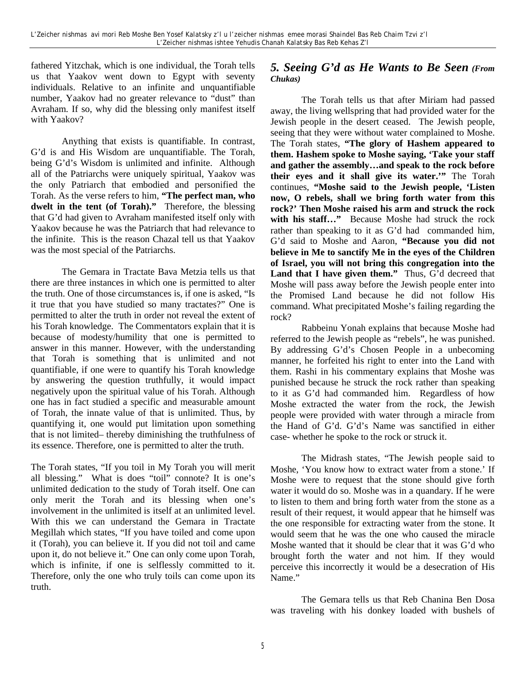fathered Yitzchak, which is one individual, the Torah tells us that Yaakov went down to Egypt with seventy individuals. Relative to an infinite and unquantifiable number, Yaakov had no greater relevance to "dust" than Avraham. If so, why did the blessing only manifest itself with Yaakov?

Anything that exists is quantifiable. In contrast, G'd is and His Wisdom are unquantifiable. The Torah, being G'd's Wisdom is unlimited and infinite. Although all of the Patriarchs were uniquely spiritual, Yaakov was the only Patriarch that embodied and personified the Torah. As the verse refers to him, **"The perfect man, who dwelt in the tent (of Torah)."** Therefore, the blessing that G'd had given to Avraham manifested itself only with Yaakov because he was the Patriarch that had relevance to the infinite. This is the reason Chazal tell us that Yaakov was the most special of the Patriarchs.

The Gemara in Tractate Bava Metzia tells us that there are three instances in which one is permitted to alter the truth. One of those circumstances is, if one is asked, "Is it true that you have studied so many tractates?" One is permitted to alter the truth in order not reveal the extent of his Torah knowledge. The Commentators explain that it is because of modesty/humility that one is permitted to answer in this manner. However, with the understanding that Torah is something that is unlimited and not quantifiable, if one were to quantify his Torah knowledge by answering the question truthfully, it would impact negatively upon the spiritual value of his Torah. Although one has in fact studied a specific and measurable amount of Torah, the innate value of that is unlimited. Thus, by quantifying it, one would put limitation upon something that is not limited– thereby diminishing the truthfulness of its essence. Therefore, one is permitted to alter the truth.

The Torah states, "If you toil in My Torah you will merit all blessing." What is does "toil" connote? It is one's unlimited dedication to the study of Torah itself. One can only merit the Torah and its blessing when one's involvement in the unlimited is itself at an unlimited level. With this we can understand the Gemara in Tractate Megillah which states, "If you have toiled and come upon it (Torah), you can believe it. If you did not toil and came upon it, do not believe it." One can only come upon Torah, which is infinite, if one is selflessly committed to it. Therefore, only the one who truly toils can come upon its truth.

#### *5. Seeing G'd as He Wants to Be Seen (From Chukas)*

The Torah tells us that after Miriam had passed away, the living wellspring that had provided water for the Jewish people in the desert ceased. The Jewish people, seeing that they were without water complained to Moshe. The Torah states, **"The glory of Hashem appeared to them. Hashem spoke to Moshe saying, 'Take your staff and gather the assembly…and speak to the rock before their eyes and it shall give its water.'"** The Torah continues, **"Moshe said to the Jewish people, 'Listen now, O rebels, shall we bring forth water from this rock?' Then Moshe raised his arm and struck the rock**  with his staff..." Because Moshe had struck the rock rather than speaking to it as G'd had commanded him, G'd said to Moshe and Aaron, **"Because you did not believe in Me to sanctify Me in the eyes of the Children of Israel, you will not bring this congregation into the Land that I have given them."** Thus, G'd decreed that Moshe will pass away before the Jewish people enter into the Promised Land because he did not follow His command. What precipitated Moshe's failing regarding the rock?

Rabbeinu Yonah explains that because Moshe had referred to the Jewish people as "rebels", he was punished. By addressing G'd's Chosen People in a unbecoming manner, he forfeited his right to enter into the Land with them. Rashi in his commentary explains that Moshe was punished because he struck the rock rather than speaking to it as G'd had commanded him. Regardless of how Moshe extracted the water from the rock, the Jewish people were provided with water through a miracle from the Hand of G'd. G'd's Name was sanctified in either case- whether he spoke to the rock or struck it.

The Midrash states, "The Jewish people said to Moshe, 'You know how to extract water from a stone.' If Moshe were to request that the stone should give forth water it would do so. Moshe was in a quandary. If he were to listen to them and bring forth water from the stone as a result of their request, it would appear that he himself was the one responsible for extracting water from the stone. It would seem that he was the one who caused the miracle Moshe wanted that it should be clear that it was G'd who brought forth the water and not him. If they would perceive this incorrectly it would be a desecration of His Name."

The Gemara tells us that Reb Chanina Ben Dosa was traveling with his donkey loaded with bushels of